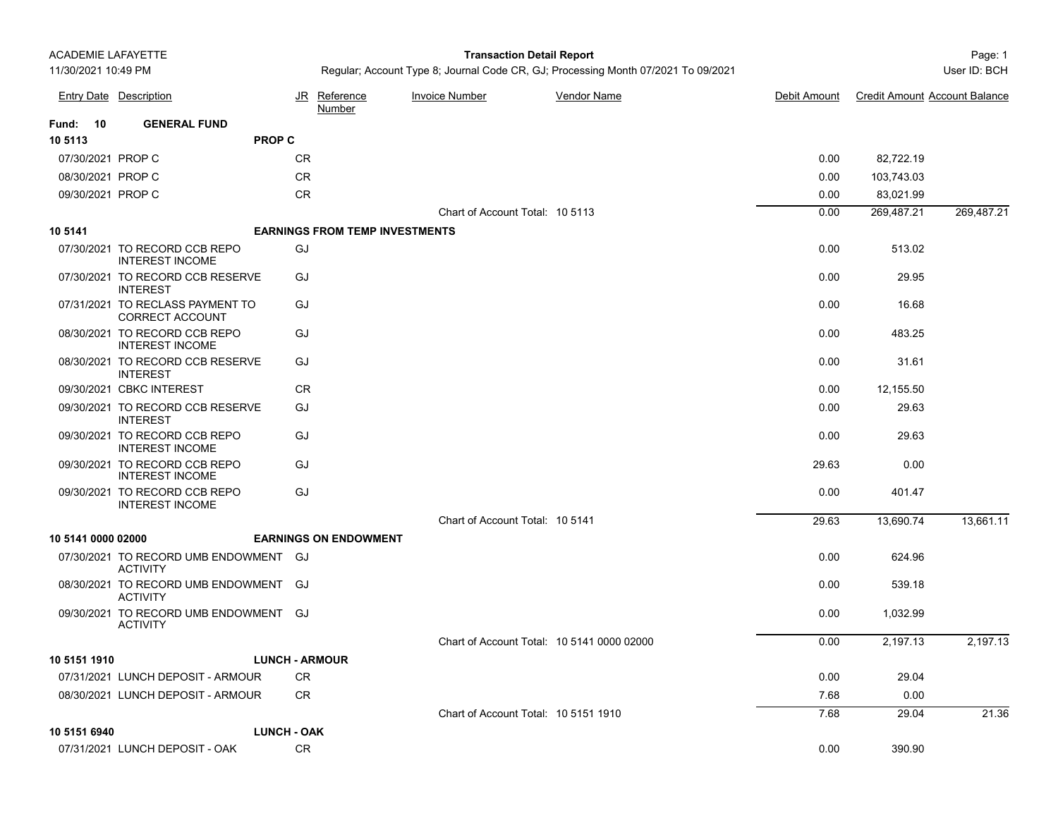## Page: 1 **Transaction Detail Report**

Regular; Account Type 8; Journal Code CR, GJ; Processing Month 07/2021 To 09/2021 User Manusculph and Muser ID: BCH

|                    | <b>Entry Date Description</b>                            |           | JR Reference<br>Number                | <b>Invoice Number</b>                      | <b>Vendor Name</b> | Debit Amount | <b>Credit Amount Account Balance</b> |            |
|--------------------|----------------------------------------------------------|-----------|---------------------------------------|--------------------------------------------|--------------------|--------------|--------------------------------------|------------|
| <b>Fund: 10</b>    | <b>GENERAL FUND</b>                                      |           |                                       |                                            |                    |              |                                      |            |
| 10 5113            | <b>PROP C</b>                                            |           |                                       |                                            |                    |              |                                      |            |
| 07/30/2021 PROP C  |                                                          | <b>CR</b> |                                       |                                            |                    | 0.00         | 82,722.19                            |            |
| 08/30/2021 PROP C  |                                                          | <b>CR</b> |                                       |                                            |                    | 0.00         | 103,743.03                           |            |
| 09/30/2021 PROP C  |                                                          | <b>CR</b> |                                       |                                            |                    | 0.00         | 83,021.99                            |            |
|                    |                                                          |           |                                       | Chart of Account Total: 10 5113            |                    | 0.00         | 269,487.21                           | 269,487.21 |
| 10 5141            |                                                          |           | <b>EARNINGS FROM TEMP INVESTMENTS</b> |                                            |                    |              |                                      |            |
|                    | 07/30/2021 TO RECORD CCB REPO<br><b>INTEREST INCOME</b>  | GJ        |                                       |                                            |                    | 0.00         | 513.02                               |            |
|                    | 07/30/2021 TO RECORD CCB RESERVE<br><b>INTEREST</b>      | GJ        |                                       |                                            |                    | 0.00         | 29.95                                |            |
|                    | 07/31/2021 TO RECLASS PAYMENT TO<br>CORRECT ACCOUNT      | GJ        |                                       |                                            |                    | 0.00         | 16.68                                |            |
|                    | 08/30/2021 TO RECORD CCB REPO<br><b>INTEREST INCOME</b>  | GJ        |                                       |                                            |                    | 0.00         | 483.25                               |            |
|                    | 08/30/2021 TO RECORD CCB RESERVE<br><b>INTEREST</b>      | GJ        |                                       |                                            |                    | 0.00         | 31.61                                |            |
|                    | 09/30/2021 CBKC INTEREST                                 | <b>CR</b> |                                       |                                            |                    | 0.00         | 12,155.50                            |            |
|                    | 09/30/2021 TO RECORD CCB RESERVE<br><b>INTEREST</b>      | GJ        |                                       |                                            |                    | 0.00         | 29.63                                |            |
|                    | 09/30/2021 TO RECORD CCB REPO<br><b>INTEREST INCOME</b>  | GJ        |                                       |                                            |                    | 0.00         | 29.63                                |            |
|                    | 09/30/2021 TO RECORD CCB REPO<br><b>INTEREST INCOME</b>  | GJ        |                                       |                                            |                    | 29.63        | 0.00                                 |            |
|                    | 09/30/2021 TO RECORD CCB REPO<br><b>INTEREST INCOME</b>  | GJ        |                                       |                                            |                    | 0.00         | 401.47                               |            |
|                    |                                                          |           |                                       | Chart of Account Total: 10 5141            |                    | 29.63        | 13,690.74                            | 13,661.11  |
| 10 5141 0000 02000 |                                                          |           | <b>EARNINGS ON ENDOWMENT</b>          |                                            |                    |              |                                      |            |
|                    | 07/30/2021 TO RECORD UMB ENDOWMENT GJ<br><b>ACTIVITY</b> |           |                                       |                                            |                    | 0.00         | 624.96                               |            |
|                    | 08/30/2021 TO RECORD UMB ENDOWMENT GJ<br><b>ACTIVITY</b> |           |                                       |                                            |                    | 0.00         | 539.18                               |            |
|                    | 09/30/2021 TO RECORD UMB ENDOWMENT GJ<br><b>ACTIVITY</b> |           |                                       |                                            |                    | 0.00         | 1,032.99                             |            |
|                    |                                                          |           |                                       | Chart of Account Total: 10 5141 0000 02000 |                    | 0.00         | 2,197.13                             | 2,197.13   |
| 10 5151 1910       |                                                          |           | <b>LUNCH - ARMOUR</b>                 |                                            |                    |              |                                      |            |
|                    | 07/31/2021 LUNCH DEPOSIT - ARMOUR                        | CR        |                                       |                                            |                    | 0.00         | 29.04                                |            |
|                    | 08/30/2021 LUNCH DEPOSIT - ARMOUR                        | CR.       |                                       |                                            |                    | 7.68         | 0.00                                 |            |
|                    |                                                          |           |                                       | Chart of Account Total: 10 5151 1910       |                    | 7.68         | 29.04                                | 21.36      |
| 10 5151 6940       | <b>LUNCH - OAK</b>                                       |           |                                       |                                            |                    |              |                                      |            |
|                    | 07/31/2021 LUNCH DEPOSIT - OAK                           | <b>CR</b> |                                       |                                            |                    | 0.00         | 390.90                               |            |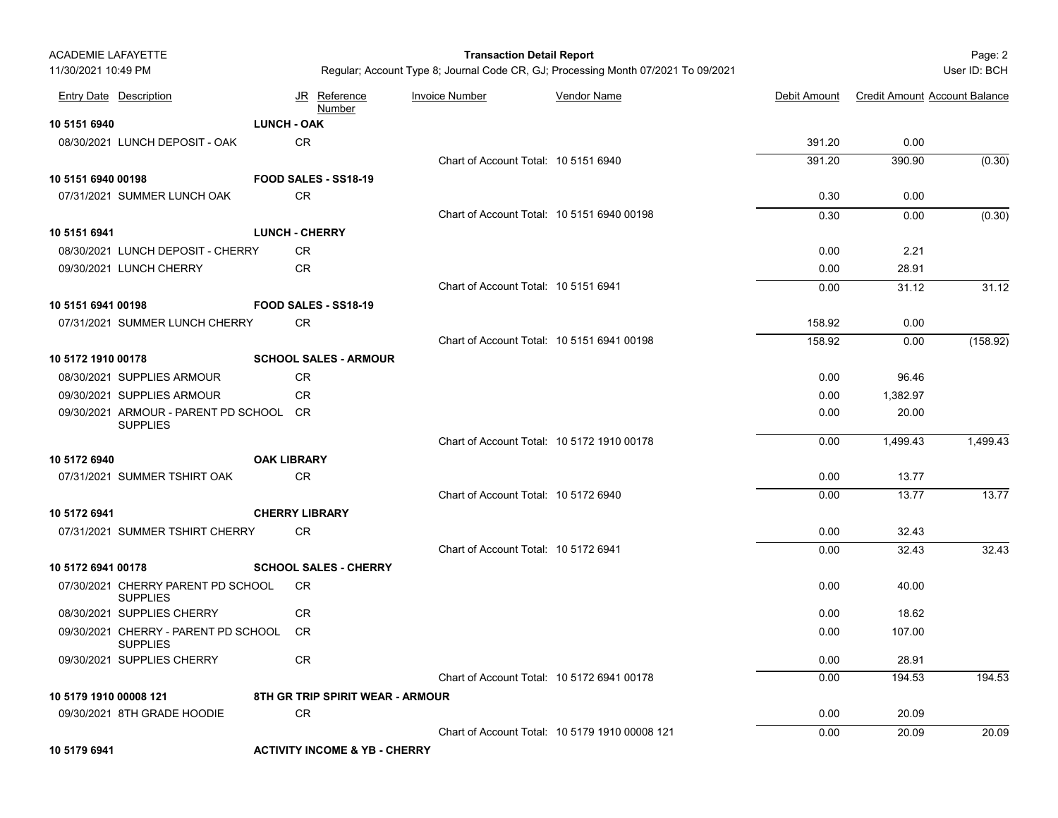| <b>ACADEMIE LAFAYETTE</b> |                                                            |                    |                                  | <b>Transaction Detail Report</b>           |                                                                                   |              |                                      | Page: 2      |
|---------------------------|------------------------------------------------------------|--------------------|----------------------------------|--------------------------------------------|-----------------------------------------------------------------------------------|--------------|--------------------------------------|--------------|
| 11/30/2021 10:49 PM       |                                                            |                    |                                  |                                            | Regular; Account Type 8; Journal Code CR, GJ; Processing Month 07/2021 To 09/2021 |              |                                      | User ID: BCH |
|                           | <b>Entry Date Description</b>                              |                    | JR Reference<br>Number           | <b>Invoice Number</b>                      | <b>Vendor Name</b>                                                                | Debit Amount | <b>Credit Amount Account Balance</b> |              |
| 10 5151 6940              |                                                            | <b>LUNCH - OAK</b> |                                  |                                            |                                                                                   |              |                                      |              |
|                           | 08/30/2021 LUNCH DEPOSIT - OAK                             |                    | <b>CR</b>                        |                                            |                                                                                   | 391.20       | 0.00                                 |              |
|                           |                                                            |                    |                                  | Chart of Account Total: 10 5151 6940       |                                                                                   | 391.20       | 390.90                               | (0.30)       |
| 10 5151 6940 00198        |                                                            |                    | FOOD SALES - SS18-19             |                                            |                                                                                   |              |                                      |              |
|                           | 07/31/2021 SUMMER LUNCH OAK                                |                    | <b>CR</b>                        |                                            |                                                                                   | 0.30         | 0.00                                 |              |
|                           |                                                            |                    |                                  | Chart of Account Total: 10 5151 6940 00198 |                                                                                   | 0.30         | 0.00                                 | (0.30)       |
| 10 5151 6941              |                                                            |                    | <b>LUNCH - CHERRY</b>            |                                            |                                                                                   |              |                                      |              |
|                           | 08/30/2021 LUNCH DEPOSIT - CHERRY                          |                    | <b>CR</b>                        |                                            |                                                                                   | 0.00         | 2.21                                 |              |
|                           | 09/30/2021 LUNCH CHERRY                                    |                    | <b>CR</b>                        |                                            |                                                                                   | 0.00         | 28.91                                |              |
|                           |                                                            |                    |                                  | Chart of Account Total: 10 5151 6941       |                                                                                   | 0.00         | 31.12                                | 31.12        |
| 10 5151 6941 00198        |                                                            |                    | FOOD SALES - SS18-19             |                                            |                                                                                   |              |                                      |              |
|                           | 07/31/2021 SUMMER LUNCH CHERRY                             |                    | <b>CR</b>                        |                                            |                                                                                   | 158.92       | 0.00                                 |              |
|                           |                                                            |                    |                                  | Chart of Account Total: 10 5151 6941 00198 |                                                                                   | 158.92       | 0.00                                 | (158.92)     |
| 10 5172 1910 00178        |                                                            |                    | <b>SCHOOL SALES - ARMOUR</b>     |                                            |                                                                                   |              |                                      |              |
|                           | 08/30/2021 SUPPLIES ARMOUR                                 |                    | <b>CR</b>                        |                                            |                                                                                   | 0.00         | 96.46                                |              |
|                           | 09/30/2021 SUPPLIES ARMOUR                                 |                    | <b>CR</b>                        |                                            |                                                                                   | 0.00         | 1,382.97                             |              |
|                           | 09/30/2021 ARMOUR - PARENT PD SCHOOL CR<br><b>SUPPLIES</b> |                    |                                  |                                            |                                                                                   | 0.00         | 20.00                                |              |
|                           |                                                            |                    |                                  | Chart of Account Total: 10 5172 1910 00178 |                                                                                   | 0.00         | 1,499.43                             | 1,499.43     |
| 10 5172 6940              |                                                            | <b>OAK LIBRARY</b> |                                  |                                            |                                                                                   |              |                                      |              |
|                           | 07/31/2021 SUMMER TSHIRT OAK                               |                    | <b>CR</b>                        |                                            |                                                                                   | 0.00         | 13.77                                |              |
|                           |                                                            |                    |                                  | Chart of Account Total: 10 5172 6940       |                                                                                   | 0.00         | 13.77                                | 13.77        |
| 10 5172 6941              |                                                            |                    | <b>CHERRY LIBRARY</b>            |                                            |                                                                                   |              |                                      |              |
|                           | 07/31/2021 SUMMER TSHIRT CHERRY                            |                    | <b>CR</b>                        |                                            |                                                                                   | 0.00         | 32.43                                |              |
|                           |                                                            |                    |                                  | Chart of Account Total: 10 5172 6941       |                                                                                   | 0.00         | 32.43                                | 32.43        |
| 10 5172 6941 00178        |                                                            |                    | <b>SCHOOL SALES - CHERRY</b>     |                                            |                                                                                   |              |                                      |              |
|                           | 07/30/2021 CHERRY PARENT PD SCHOOL<br><b>SUPPLIES</b>      |                    | CR                               |                                            |                                                                                   | 0.00         | 40.00                                |              |
|                           | 08/30/2021 SUPPLIES CHERRY                                 |                    | <b>CR</b>                        |                                            |                                                                                   | 0.00         | 18.62                                |              |
|                           | 09/30/2021 CHERRY - PARENT PD SCHOOL CR<br><b>SUPPLIES</b> |                    |                                  |                                            |                                                                                   | 0.00         | 107.00                               |              |
|                           | 09/30/2021 SUPPLIES CHERRY                                 |                    | CR                               |                                            |                                                                                   | 0.00         | 28.91                                |              |
|                           |                                                            |                    |                                  | Chart of Account Total: 10 5172 6941 00178 |                                                                                   | 0.00         | 194.53                               | 194.53       |
| 10 5179 1910 00008 121    |                                                            |                    | 8TH GR TRIP SPIRIT WEAR - ARMOUR |                                            |                                                                                   |              |                                      |              |
|                           | 09/30/2021 8TH GRADE HOODIE                                |                    | CR                               |                                            |                                                                                   | 0.00         | 20.09                                |              |
|                           |                                                            |                    |                                  |                                            | Chart of Account Total: 10 5179 1910 00008 121                                    | 0.00         | 20.09                                | 20.09        |
| 40 F470 CO44              |                                                            |                    | ACTIVITY INCOME 9 VD. CUEDDY     |                                            |                                                                                   |              |                                      |              |

**10 5179 6941 ACTIVITY INCOME & YB - CHERRY**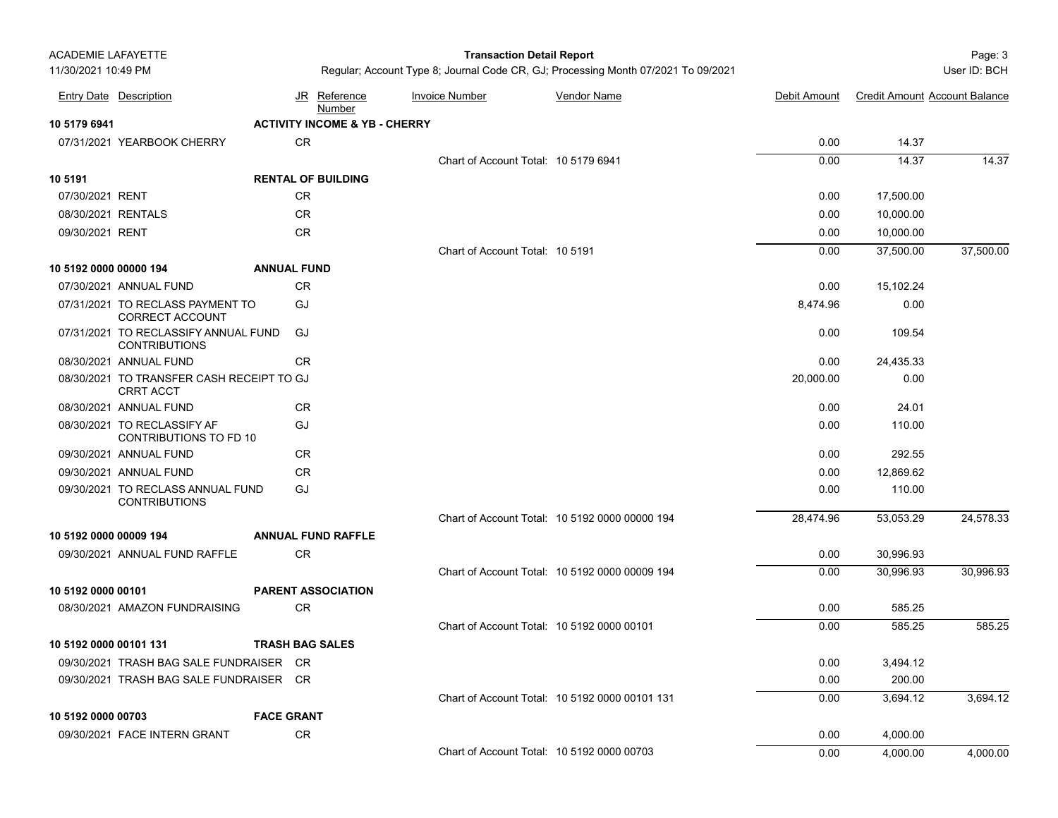| <b>ACADEMIE LAFAYETTE</b><br>11/30/2021 10:49 PM |                                                               |                    |                                          | <b>Transaction Detail Report</b>     | Regular; Account Type 8; Journal Code CR, GJ; Processing Month 07/2021 To 09/2021 |              |                                      | Page: 3<br>User ID: BCH |
|--------------------------------------------------|---------------------------------------------------------------|--------------------|------------------------------------------|--------------------------------------|-----------------------------------------------------------------------------------|--------------|--------------------------------------|-------------------------|
|                                                  |                                                               |                    |                                          |                                      |                                                                                   |              |                                      |                         |
|                                                  | <b>Entry Date Description</b>                                 |                    | JR Reference<br>Number                   | <b>Invoice Number</b>                | <b>Vendor Name</b>                                                                | Debit Amount | <b>Credit Amount Account Balance</b> |                         |
| 10 5179 6941                                     |                                                               |                    | <b>ACTIVITY INCOME &amp; YB - CHERRY</b> |                                      |                                                                                   |              |                                      |                         |
|                                                  | 07/31/2021 YEARBOOK CHERRY                                    |                    | <b>CR</b>                                |                                      |                                                                                   | 0.00         | 14.37                                |                         |
|                                                  |                                                               |                    |                                          | Chart of Account Total: 10 5179 6941 |                                                                                   | 0.00         | 14.37                                | 14.37                   |
| 10 5191                                          |                                                               |                    | <b>RENTAL OF BUILDING</b>                |                                      |                                                                                   |              |                                      |                         |
| 07/30/2021 RENT                                  |                                                               |                    | <b>CR</b>                                |                                      |                                                                                   | 0.00         | 17,500.00                            |                         |
|                                                  | 08/30/2021 RENTALS                                            |                    | CR                                       |                                      |                                                                                   | 0.00         | 10,000.00                            |                         |
| 09/30/2021 RENT                                  |                                                               |                    | CR                                       |                                      |                                                                                   | 0.00         | 10,000.00                            |                         |
|                                                  |                                                               |                    |                                          | Chart of Account Total: 10 5191      |                                                                                   | 0.00         | 37,500.00                            | 37,500.00               |
| 10 5192 0000 00000 194                           |                                                               | <b>ANNUAL FUND</b> |                                          |                                      |                                                                                   |              |                                      |                         |
|                                                  | 07/30/2021 ANNUAL FUND                                        |                    | <b>CR</b>                                |                                      |                                                                                   | 0.00         | 15,102.24                            |                         |
|                                                  | 07/31/2021 TO RECLASS PAYMENT TO<br><b>CORRECT ACCOUNT</b>    | GJ                 |                                          |                                      |                                                                                   | 8,474.96     | 0.00                                 |                         |
|                                                  | 07/31/2021 TO RECLASSIFY ANNUAL FUND<br><b>CONTRIBUTIONS</b>  | GJ                 |                                          |                                      |                                                                                   | 0.00         | 109.54                               |                         |
|                                                  | 08/30/2021 ANNUAL FUND                                        |                    | <b>CR</b>                                |                                      |                                                                                   | 0.00         | 24,435.33                            |                         |
|                                                  | 08/30/2021 TO TRANSFER CASH RECEIPT TO GJ<br><b>CRRT ACCT</b> |                    |                                          |                                      |                                                                                   | 20,000.00    | 0.00                                 |                         |
|                                                  | 08/30/2021 ANNUAL FUND                                        |                    | <b>CR</b>                                |                                      |                                                                                   | 0.00         | 24.01                                |                         |
|                                                  | 08/30/2021 TO RECLASSIFY AF<br>CONTRIBUTIONS TO FD 10         | GJ                 |                                          |                                      |                                                                                   | 0.00         | 110.00                               |                         |
|                                                  | 09/30/2021 ANNUAL FUND                                        |                    | <b>CR</b>                                |                                      |                                                                                   | 0.00         | 292.55                               |                         |
|                                                  | 09/30/2021 ANNUAL FUND                                        |                    | <b>CR</b>                                |                                      |                                                                                   | 0.00         | 12,869.62                            |                         |
|                                                  | 09/30/2021 TO RECLASS ANNUAL FUND<br><b>CONTRIBUTIONS</b>     | GJ                 |                                          |                                      |                                                                                   | 0.00         | 110.00                               |                         |
|                                                  |                                                               |                    |                                          |                                      | Chart of Account Total: 10 5192 0000 00000 194                                    | 28,474.96    | 53,053.29                            | 24,578.33               |
| 10 5192 0000 00009 194                           |                                                               |                    | <b>ANNUAL FUND RAFFLE</b>                |                                      |                                                                                   |              |                                      |                         |
|                                                  | 09/30/2021 ANNUAL FUND RAFFLE                                 |                    | <b>CR</b>                                |                                      |                                                                                   | 0.00         | 30,996.93                            |                         |
|                                                  |                                                               |                    |                                          |                                      | Chart of Account Total: 10 5192 0000 00009 194                                    | 0.00         | 30,996.93                            | 30,996.93               |
| 10 5192 0000 00101                               |                                                               |                    | <b>PARENT ASSOCIATION</b>                |                                      |                                                                                   |              |                                      |                         |
|                                                  | 08/30/2021 AMAZON FUNDRAISING                                 |                    | <b>CR</b>                                |                                      |                                                                                   | 0.00         | 585.25                               |                         |
|                                                  |                                                               |                    |                                          |                                      | Chart of Account Total: 10 5192 0000 00101                                        | 0.00         | 585.25                               | 585.25                  |
| 10 5192 0000 00101 131                           |                                                               |                    | <b>TRASH BAG SALES</b>                   |                                      |                                                                                   |              |                                      |                         |
|                                                  | 09/30/2021 TRASH BAG SALE FUNDRAISER CR                       |                    |                                          |                                      |                                                                                   | 0.00         | 3,494.12                             |                         |
|                                                  | 09/30/2021 TRASH BAG SALE FUNDRAISER CR                       |                    |                                          |                                      |                                                                                   | 0.00         | 200.00                               |                         |
|                                                  |                                                               |                    |                                          |                                      | Chart of Account Total: 10 5192 0000 00101 131                                    | 0.00         | 3,694.12                             | 3,694.12                |
| 10 5192 0000 00703                               |                                                               | <b>FACE GRANT</b>  |                                          |                                      |                                                                                   |              |                                      |                         |
|                                                  | 09/30/2021 FACE INTERN GRANT                                  |                    | CR                                       |                                      |                                                                                   | 0.00         | 4,000.00                             |                         |
|                                                  |                                                               |                    |                                          |                                      | Chart of Account Total: 10 5192 0000 00703                                        | 0.00         | 4,000.00                             | 4,000.00                |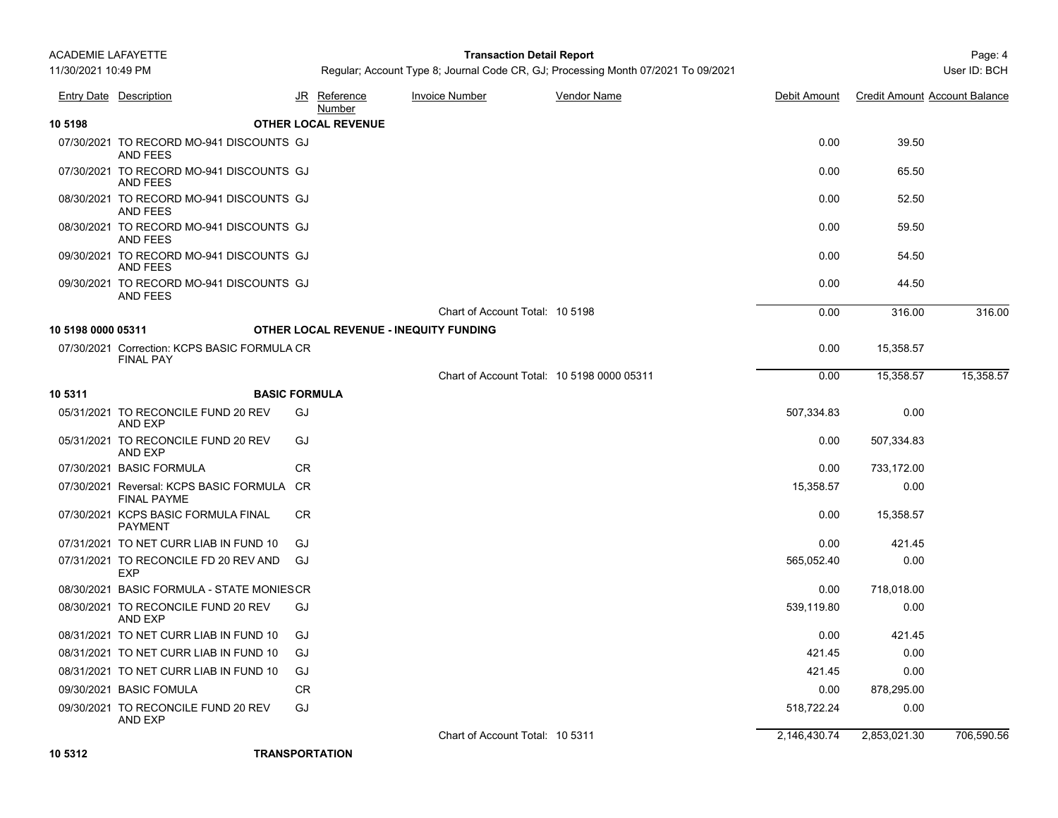## Page: 4 **Transaction Detail Report**

Regular; Account Type 8; Journal Code CR, GJ; Processing Month 07/2021 To 09/2021 User Manusculphian User ID: BCH

|                    | Entry Date Description                                           |           | JR Reference<br>Number                        | <b>Invoice Number</b>                      | Vendor Name | Debit Amount | <b>Credit Amount Account Balance</b> |            |
|--------------------|------------------------------------------------------------------|-----------|-----------------------------------------------|--------------------------------------------|-------------|--------------|--------------------------------------|------------|
| 10 5198            |                                                                  |           | <b>OTHER LOCAL REVENUE</b>                    |                                            |             |              |                                      |            |
|                    | 07/30/2021 TO RECORD MO-941 DISCOUNTS GJ<br>AND FEES             |           |                                               |                                            |             | 0.00         | 39.50                                |            |
|                    | 07/30/2021 TO RECORD MO-941 DISCOUNTS GJ<br><b>AND FEES</b>      |           |                                               |                                            |             | 0.00         | 65.50                                |            |
|                    | 08/30/2021 TO RECORD MO-941 DISCOUNTS GJ<br><b>AND FEES</b>      |           |                                               |                                            |             | 0.00         | 52.50                                |            |
|                    | 08/30/2021 TO RECORD MO-941 DISCOUNTS GJ<br>AND FEES             |           |                                               |                                            |             | 0.00         | 59.50                                |            |
|                    | 09/30/2021 TO RECORD MO-941 DISCOUNTS GJ<br><b>AND FEES</b>      |           |                                               |                                            |             | 0.00         | 54.50                                |            |
|                    | 09/30/2021 TO RECORD MO-941 DISCOUNTS GJ<br><b>AND FEES</b>      |           |                                               |                                            |             | 0.00         | 44.50                                |            |
|                    |                                                                  |           |                                               | Chart of Account Total: 10 5198            |             | 0.00         | 316.00                               | 316.00     |
| 10 5198 0000 05311 |                                                                  |           | <b>OTHER LOCAL REVENUE - INEQUITY FUNDING</b> |                                            |             |              |                                      |            |
|                    | 07/30/2021 Correction: KCPS BASIC FORMULA CR<br><b>FINAL PAY</b> |           |                                               |                                            |             | 0.00         | 15,358.57                            |            |
|                    |                                                                  |           |                                               | Chart of Account Total: 10 5198 0000 05311 |             | 0.00         | 15,358.57                            | 15,358.57  |
| 10 5311            | <b>BASIC FORMULA</b>                                             |           |                                               |                                            |             |              |                                      |            |
|                    | 05/31/2021 TO RECONCILE FUND 20 REV<br>AND EXP                   | GJ        |                                               |                                            |             | 507,334.83   | 0.00                                 |            |
|                    | 05/31/2021 TO RECONCILE FUND 20 REV<br>AND EXP                   | GJ        |                                               |                                            |             | 0.00         | 507,334.83                           |            |
|                    | 07/30/2021 BASIC FORMULA                                         | <b>CR</b> |                                               |                                            |             | 0.00         | 733,172.00                           |            |
|                    | 07/30/2021 Reversal: KCPS BASIC FORMULA CR<br><b>FINAL PAYME</b> |           |                                               |                                            |             | 15,358.57    | 0.00                                 |            |
|                    | 07/30/2021 KCPS BASIC FORMULA FINAL<br><b>PAYMENT</b>            | <b>CR</b> |                                               |                                            |             | 0.00         | 15,358.57                            |            |
|                    | 07/31/2021 TO NET CURR LIAB IN FUND 10                           | GJ        |                                               |                                            |             | 0.00         | 421.45                               |            |
|                    | 07/31/2021 TO RECONCILE FD 20 REV AND<br><b>EXP</b>              | GJ        |                                               |                                            |             | 565,052.40   | 0.00                                 |            |
|                    | 08/30/2021 BASIC FORMULA - STATE MONIESCR                        |           |                                               |                                            |             | 0.00         | 718,018.00                           |            |
|                    | 08/30/2021 TO RECONCILE FUND 20 REV<br>AND EXP                   | GJ        |                                               |                                            |             | 539,119.80   | 0.00                                 |            |
|                    | 08/31/2021 TO NET CURR LIAB IN FUND 10                           | GJ        |                                               |                                            |             | 0.00         | 421.45                               |            |
|                    | 08/31/2021 TO NET CURR LIAB IN FUND 10                           | GJ        |                                               |                                            |             | 421.45       | 0.00                                 |            |
|                    | 08/31/2021 TO NET CURR LIAB IN FUND 10                           | GJ        |                                               |                                            |             | 421.45       | 0.00                                 |            |
|                    | 09/30/2021 BASIC FOMULA                                          | <b>CR</b> |                                               |                                            |             | 0.00         | 878,295.00                           |            |
|                    | 09/30/2021 TO RECONCILE FUND 20 REV<br>AND EXP                   | GJ        |                                               |                                            |             | 518,722.24   | 0.00                                 |            |
|                    |                                                                  |           |                                               | Chart of Account Total: 10 5311            |             | 2,146,430.74 | 2,853,021.30                         | 706,590.56 |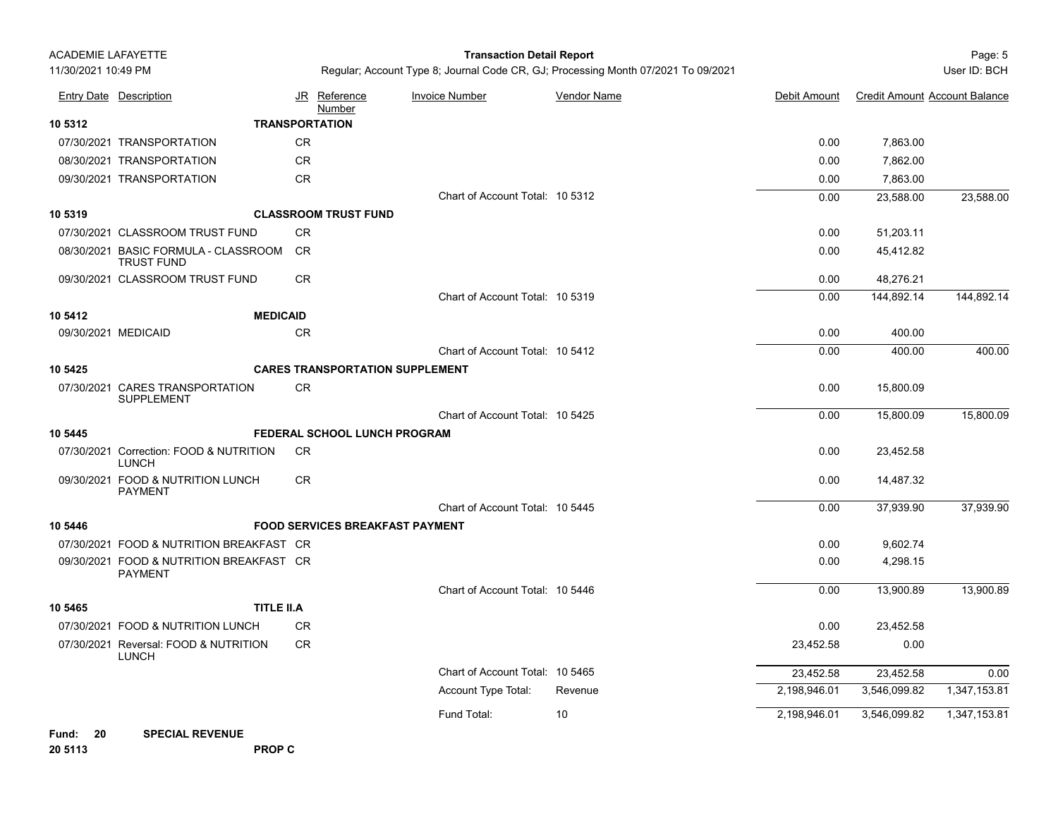## Page: 5 **Transaction Detail Report**

Regular; Account Type 8; Journal Code CR, GJ; Processing Month 07/2021 To 09/2021 User Manusculphian User ID: BCH

|         | <b>Entry Date Description</b>                              |            | JR Reference<br>Number                 | <b>Invoice Number</b>           | <b>Vendor Name</b> | Debit Amount | <b>Credit Amount Account Balance</b> |              |
|---------|------------------------------------------------------------|------------|----------------------------------------|---------------------------------|--------------------|--------------|--------------------------------------|--------------|
| 10 5312 |                                                            |            | <b>TRANSPORTATION</b>                  |                                 |                    |              |                                      |              |
|         | 07/30/2021 TRANSPORTATION                                  | ${\sf CR}$ |                                        |                                 |                    | 0.00         | 7,863.00                             |              |
|         | 08/30/2021 TRANSPORTATION                                  | CR         |                                        |                                 |                    | 0.00         | 7,862.00                             |              |
|         | 09/30/2021 TRANSPORTATION                                  | ${\sf CR}$ |                                        |                                 |                    | 0.00         | 7,863.00                             |              |
|         |                                                            |            |                                        | Chart of Account Total: 10 5312 |                    | 0.00         | 23,588.00                            | 23,588.00    |
| 10 5319 |                                                            |            | <b>CLASSROOM TRUST FUND</b>            |                                 |                    |              |                                      |              |
|         | 07/30/2021 CLASSROOM TRUST FUND                            | CR         |                                        |                                 |                    | 0.00         | 51,203.11                            |              |
|         | 08/30/2021 BASIC FORMULA - CLASSROOM<br><b>TRUST FUND</b>  | <b>CR</b>  |                                        |                                 |                    | 0.00         | 45,412.82                            |              |
|         | 09/30/2021 CLASSROOM TRUST FUND                            | CR         |                                        |                                 |                    | 0.00         | 48,276.21                            |              |
|         |                                                            |            |                                        | Chart of Account Total: 10 5319 |                    | 0.00         | 144,892.14                           | 144,892.14   |
| 10 5412 | <b>MEDICAID</b>                                            |            |                                        |                                 |                    |              |                                      |              |
|         | 09/30/2021 MEDICAID                                        | CR         |                                        |                                 |                    | 0.00         | 400.00                               |              |
|         |                                                            |            |                                        | Chart of Account Total: 10 5412 |                    | 0.00         | 400.00                               | 400.00       |
| 10 5425 |                                                            |            | <b>CARES TRANSPORTATION SUPPLEMENT</b> |                                 |                    |              |                                      |              |
|         | 07/30/2021 CARES TRANSPORTATION<br><b>SUPPLEMENT</b>       | CR         |                                        |                                 |                    | 0.00         | 15,800.09                            |              |
|         |                                                            |            |                                        | Chart of Account Total: 10 5425 |                    | 0.00         | 15,800.09                            | 15,800.09    |
| 10 5445 |                                                            |            | <b>FEDERAL SCHOOL LUNCH PROGRAM</b>    |                                 |                    |              |                                      |              |
|         | 07/30/2021 Correction: FOOD & NUTRITION<br><b>LUNCH</b>    | <b>CR</b>  |                                        |                                 |                    | 0.00         | 23,452.58                            |              |
|         | 09/30/2021 FOOD & NUTRITION LUNCH<br><b>PAYMENT</b>        | CR         |                                        |                                 |                    | 0.00         | 14,487.32                            |              |
|         |                                                            |            |                                        | Chart of Account Total: 10 5445 |                    | 0.00         | 37,939.90                            | 37,939.90    |
| 10 5446 |                                                            |            | <b>FOOD SERVICES BREAKFAST PAYMENT</b> |                                 |                    |              |                                      |              |
|         | 07/30/2021 FOOD & NUTRITION BREAKFAST CR                   |            |                                        |                                 |                    | 0.00         | 9,602.74                             |              |
|         | 09/30/2021 FOOD & NUTRITION BREAKFAST CR<br><b>PAYMENT</b> |            |                                        |                                 |                    | 0.00         | 4,298.15                             |              |
|         |                                                            |            |                                        | Chart of Account Total: 10 5446 |                    | 0.00         | 13,900.89                            | 13,900.89    |
| 10 5465 | <b>TITLE II.A</b>                                          |            |                                        |                                 |                    |              |                                      |              |
|         | 07/30/2021 FOOD & NUTRITION LUNCH                          | CR         |                                        |                                 |                    | 0.00         | 23,452.58                            |              |
|         | 07/30/2021 Reversal: FOOD & NUTRITION<br><b>LUNCH</b>      | CR         |                                        |                                 |                    | 23,452.58    | 0.00                                 |              |
|         |                                                            |            |                                        | Chart of Account Total: 10 5465 |                    | 23,452.58    | 23,452.58                            | 0.00         |
|         |                                                            |            |                                        | Account Type Total:             | Revenue            | 2,198,946.01 | 3,546,099.82                         | 1,347,153.81 |
|         |                                                            |            |                                        | Fund Total:                     | 10                 | 2,198,946.01 | 3,546,099.82                         | 1,347,153.81 |

**Fund: 20 SPECIAL REVENUE 20 5113 PROP C**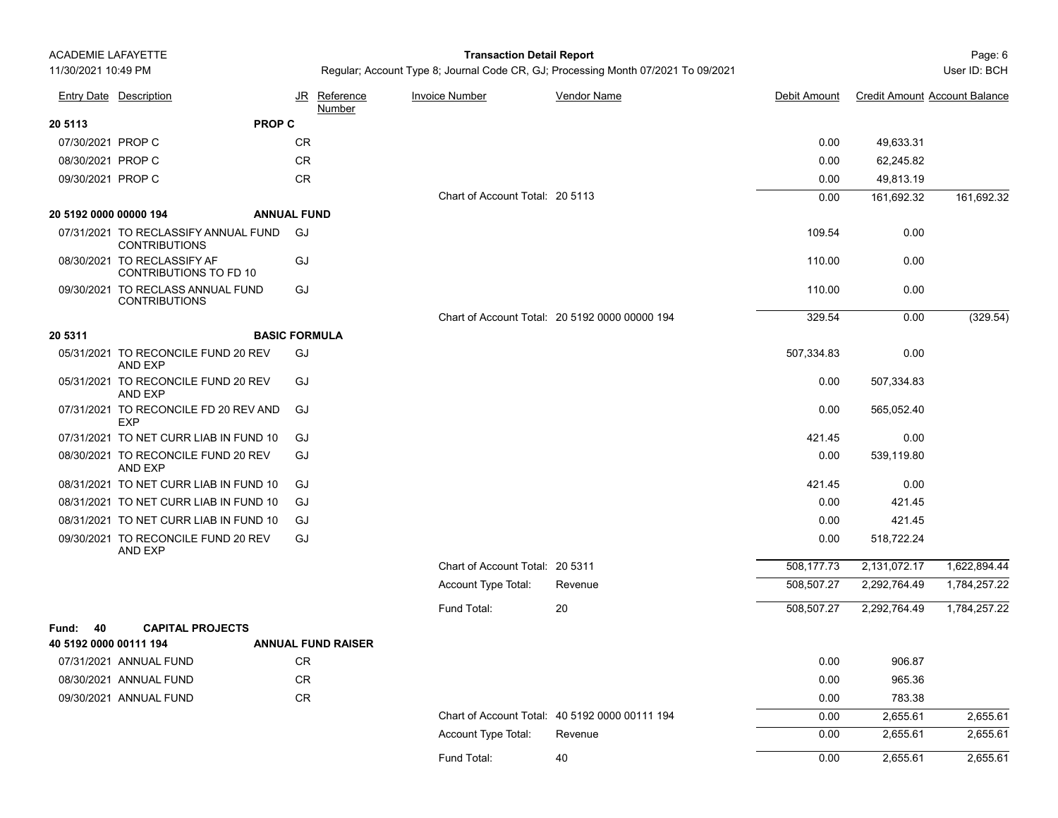## Page: 6 **Transaction Detail Report**

Regular; Account Type 8; Journal Code CR, GJ; Processing Month 07/2021 To 09/2021 User Manusculph and Muser ID: BCH

|                        | <b>Entry Date Description</b>                                |                      | JR Reference<br>Number    | <b>Invoice Number</b>           | <b>Vendor Name</b>                             | Debit Amount | <b>Credit Amount Account Balance</b> |              |
|------------------------|--------------------------------------------------------------|----------------------|---------------------------|---------------------------------|------------------------------------------------|--------------|--------------------------------------|--------------|
| 20 5113                |                                                              | <b>PROP C</b>        |                           |                                 |                                                |              |                                      |              |
| 07/30/2021 PROP C      |                                                              | CR                   |                           |                                 |                                                | 0.00         | 49,633.31                            |              |
| 08/30/2021 PROP C      |                                                              | CR                   |                           |                                 |                                                | 0.00         | 62,245.82                            |              |
| 09/30/2021 PROP C      |                                                              | <b>CR</b>            |                           |                                 |                                                | 0.00         | 49,813.19                            |              |
|                        |                                                              |                      |                           | Chart of Account Total: 20 5113 |                                                | 0.00         | 161,692.32                           | 161,692.32   |
| 20 5192 0000 00000 194 |                                                              | <b>ANNUAL FUND</b>   |                           |                                 |                                                |              |                                      |              |
|                        | 07/31/2021 TO RECLASSIFY ANNUAL FUND<br><b>CONTRIBUTIONS</b> | GJ                   |                           |                                 |                                                | 109.54       | 0.00                                 |              |
|                        | 08/30/2021 TO RECLASSIFY AF<br>CONTRIBUTIONS TO FD 10        | GJ                   |                           |                                 |                                                | 110.00       | 0.00                                 |              |
|                        | 09/30/2021 TO RECLASS ANNUAL FUND<br><b>CONTRIBUTIONS</b>    | GJ                   |                           |                                 |                                                | 110.00       | 0.00                                 |              |
|                        |                                                              |                      |                           |                                 | Chart of Account Total: 20 5192 0000 00000 194 | 329.54       | 0.00                                 | (329.54)     |
| 20 5311                |                                                              | <b>BASIC FORMULA</b> |                           |                                 |                                                |              |                                      |              |
|                        | 05/31/2021 TO RECONCILE FUND 20 REV<br><b>AND EXP</b>        | GJ                   |                           |                                 |                                                | 507,334.83   | 0.00                                 |              |
|                        | 05/31/2021 TO RECONCILE FUND 20 REV<br>AND EXP               | GJ                   |                           |                                 |                                                | 0.00         | 507,334.83                           |              |
|                        | 07/31/2021 TO RECONCILE FD 20 REV AND<br><b>EXP</b>          | GJ                   |                           |                                 |                                                | 0.00         | 565,052.40                           |              |
|                        | 07/31/2021 TO NET CURR LIAB IN FUND 10                       | GJ                   |                           |                                 |                                                | 421.45       | 0.00                                 |              |
|                        | 08/30/2021 TO RECONCILE FUND 20 REV<br>AND EXP               | GJ                   |                           |                                 |                                                | 0.00         | 539,119.80                           |              |
|                        | 08/31/2021 TO NET CURR LIAB IN FUND 10                       | GJ                   |                           |                                 |                                                | 421.45       | 0.00                                 |              |
|                        | 08/31/2021 TO NET CURR LIAB IN FUND 10                       | GJ                   |                           |                                 |                                                | 0.00         | 421.45                               |              |
|                        | 08/31/2021 TO NET CURR LIAB IN FUND 10                       | GJ                   |                           |                                 |                                                | 0.00         | 421.45                               |              |
|                        | 09/30/2021 TO RECONCILE FUND 20 REV<br>AND EXP               | GJ                   |                           |                                 |                                                | 0.00         | 518,722.24                           |              |
|                        |                                                              |                      |                           | Chart of Account Total: 20 5311 |                                                | 508,177.73   | 2,131,072.17                         | 1,622,894.44 |
|                        |                                                              |                      |                           | Account Type Total:             | Revenue                                        | 508,507.27   | 2,292,764.49                         | 1,784,257.22 |
|                        |                                                              |                      |                           | Fund Total:                     | 20                                             | 508,507.27   | 2,292,764.49                         | 1,784,257.22 |
| Fund:<br>40            | <b>CAPITAL PROJECTS</b>                                      |                      |                           |                                 |                                                |              |                                      |              |
| 40 5192 0000 00111 194 |                                                              |                      | <b>ANNUAL FUND RAISER</b> |                                 |                                                |              |                                      |              |
|                        | 07/31/2021 ANNUAL FUND                                       | <b>CR</b>            |                           |                                 |                                                | 0.00         | 906.87                               |              |
|                        | 08/30/2021 ANNUAL FUND                                       | <b>CR</b>            |                           |                                 |                                                | 0.00         | 965.36                               |              |
|                        | 09/30/2021 ANNUAL FUND                                       | CR                   |                           |                                 |                                                | 0.00         | 783.38                               |              |
|                        |                                                              |                      |                           |                                 | Chart of Account Total: 40 5192 0000 00111 194 | 0.00         | 2,655.61                             | 2,655.61     |
|                        |                                                              |                      |                           | Account Type Total:             | Revenue                                        | 0.00         | 2,655.61                             | 2,655.61     |
|                        |                                                              |                      |                           | Fund Total:                     | 40                                             | 0.00         | 2.655.61                             | 2,655.61     |